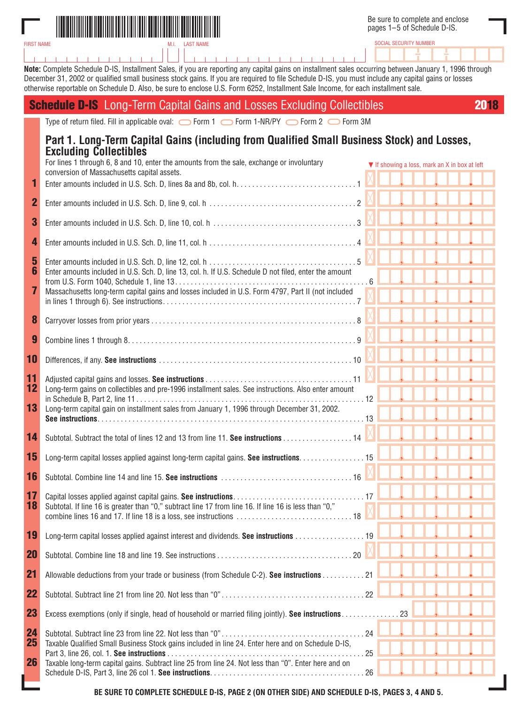

FIRST NAME

SOCIAL SECURITY NUMBER

**Note:** Complete Schedule D-IS, Installment Sales, if you are reporting any capital gains on installment sales occurring between January 1, 1996 through December 31, 2002 or qualified small business stock gains. If you are required to file Schedule D-IS, you must include any capital gains or losses otherwise reportable on Schedule D. Also, be sure to enclose U.S. Form 6252, Installment Sale Income, for each installment sale.

|                               | <b>Schedule D-IS</b> Long-Term Capital Gains and Losses Excluding Collectibles                                                                                                                                                                                           |  |                                               |  | 2018 |
|-------------------------------|--------------------------------------------------------------------------------------------------------------------------------------------------------------------------------------------------------------------------------------------------------------------------|--|-----------------------------------------------|--|------|
|                               | Type of return filed. Fill in applicable oval:<br>$\bigcirc$ Form 1 $\bigcirc$ Form 1-NR/PY $\bigcirc$ Form 2 $\bigcirc$ Form 3M                                                                                                                                         |  |                                               |  |      |
| 1                             | Part 1. Long-Term Capital Gains (including from Qualified Small Business Stock) and Losses,<br><b>Excluding Collectibles</b><br>For lines 1 through 6, 8 and 10, enter the amounts from the sale, exchange or involuntary<br>conversion of Massachusetts capital assets. |  | ▼ If showing a loss, mark an X in box at left |  |      |
| $\mathbf 2$                   |                                                                                                                                                                                                                                                                          |  |                                               |  |      |
| 3                             |                                                                                                                                                                                                                                                                          |  |                                               |  |      |
| 4                             |                                                                                                                                                                                                                                                                          |  |                                               |  |      |
| 5<br>6<br>7                   | Enter amounts included in U.S. Sch. D, line 13, col. h. If U.S. Schedule D not filed, enter the amount<br>Massachusetts long-term capital gains and losses included in U.S. Form 4797, Part II (not included                                                             |  |                                               |  |      |
| 8                             |                                                                                                                                                                                                                                                                          |  |                                               |  |      |
| 9                             |                                                                                                                                                                                                                                                                          |  |                                               |  |      |
| 10                            |                                                                                                                                                                                                                                                                          |  |                                               |  |      |
| 11<br>$12 \overline{ }$<br>13 | Long-term gains on collectibles and pre-1996 installment sales. See instructions. Also enter amount<br>Long-term capital gain on installment sales from January 1, 1996 through December 31, 2002.                                                                       |  |                                               |  |      |
| 14                            | Subtotal. Subtract the total of lines 12 and 13 from line 11. See instructions 14                                                                                                                                                                                        |  |                                               |  |      |
| 15                            | Long-term capital losses applied against long-term capital gains. See instructions. 15                                                                                                                                                                                   |  |                                               |  |      |
| 16                            |                                                                                                                                                                                                                                                                          |  |                                               |  |      |
| 17<br>18                      | Subtotal. If line 16 is greater than "0," subtract line 17 from line 16. If line 16 is less than "0,"                                                                                                                                                                    |  |                                               |  |      |
| 19                            | Long-term capital losses applied against interest and dividends. See instructions 19                                                                                                                                                                                     |  |                                               |  |      |
| 20                            |                                                                                                                                                                                                                                                                          |  |                                               |  |      |
| 21                            | Allowable deductions from your trade or business (from Schedule C-2). See instructions 21                                                                                                                                                                                |  |                                               |  |      |
| 22                            |                                                                                                                                                                                                                                                                          |  |                                               |  |      |
| 23                            |                                                                                                                                                                                                                                                                          |  |                                               |  |      |
| 24<br>25<br>26                | Taxable Qualified Small Business Stock gains included in line 24. Enter here and on Schedule D-IS.<br>Taxable long-term capital gains. Subtract line 25 from line 24. Not less than "0". Enter here and on                                                               |  |                                               |  |      |
|                               |                                                                                                                                                                                                                                                                          |  |                                               |  |      |

**BE SURE TO COMPLETE SCHEDULE D-IS, PAGE 2 (ON OTHER SIDE) AND SCHEDULE D-IS, PAGES 3, 4 AND 5.**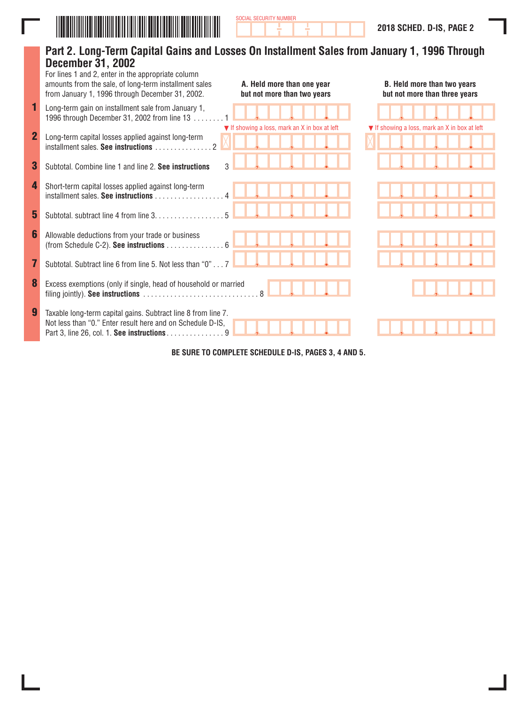

Ξ

|   | Part 2. Long-Term Capital Gains and Losses On Installment Sales from January 1, 1996 Through<br><b>December 31, 2002</b><br>For lines 1 and 2, enter in the appropriate column<br>amounts from the sale, of long-term installment sales | A. Held more than one year                    | <b>B. Held more than two years</b>            |
|---|-----------------------------------------------------------------------------------------------------------------------------------------------------------------------------------------------------------------------------------------|-----------------------------------------------|-----------------------------------------------|
|   | from January 1, 1996 through December 31, 2002.                                                                                                                                                                                         | but not more than two years                   | but not more than three years                 |
|   | Long-term gain on installment sale from January 1,<br>1996 through December 31, 2002 from line 13                                                                                                                                       |                                               |                                               |
|   | Long-term capital losses applied against long-term                                                                                                                                                                                      | ▼ If showing a loss, mark an X in box at left | ▼ If showing a loss, mark an X in box at left |
| 3 | 3<br>Subtotal, Combine line 1 and line 2. See instructions                                                                                                                                                                              |                                               |                                               |
|   | Short-term capital losses applied against long-term<br>installment sales. See instructions                                                                                                                                              |                                               |                                               |
| 5 | 5<br>Subtotal. subtract line 4 from line 3.                                                                                                                                                                                             |                                               |                                               |
| 6 | Allowable deductions from your trade or business<br>(from Schedule C-2). See instructions $\dots\dots\dots\dots\dots\dots$                                                                                                              |                                               |                                               |
|   | Subtotal. Subtract line 6 from line 5. Not less than "0" 7                                                                                                                                                                              |                                               |                                               |
| 8 | Excess exemptions (only if single, head of household or married<br>filing jointly). See instructions $\dots\dots\dots\dots\dots\dots\dots\dots\dots\dots\dots$                                                                          |                                               |                                               |
| 9 | Taxable long-term capital gains. Subtract line 8 from line 7.<br>Not less than "0." Enter result here and on Schedule D-IS,<br>Part 3, line 26, col. 1. See instructions 9                                                              |                                               |                                               |
|   | DE CUDE TO COMBI ETE CCUED                                                                                                                                                                                                              |                                               |                                               |

SOCIAL SECURITY NUMBER

**BE SURE TO COMPLETE SCHEDULE D-IS, PAGES 3, 4 AND 5.**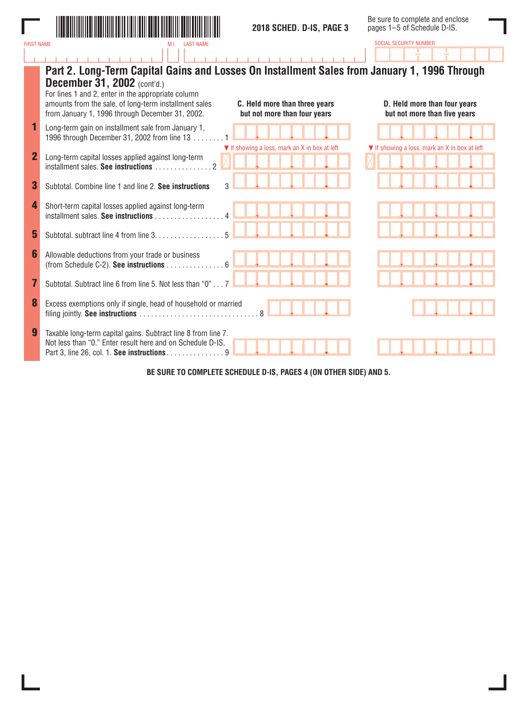

SOCIAL SECURITY NUMBER

|                | Part 2. Long-Term Capital Gains and Losses On Installment Sales from January 1, 1996 Through<br><b>December 31, 2002</b> (cont'd.)<br>For lines 1 and 2, enter in the appropriate column<br>amounts from the sale, of long-term installment sales<br>C. Held more than three years<br>from January 1, 1996 through December 31, 2002.<br>but not more than four years | D. Held more than four years<br>but not more than five years |
|----------------|-----------------------------------------------------------------------------------------------------------------------------------------------------------------------------------------------------------------------------------------------------------------------------------------------------------------------------------------------------------------------|--------------------------------------------------------------|
|                | Long-term gain on installment sale from January 1,<br>1996 through December 31, 2002 from line 13                                                                                                                                                                                                                                                                     |                                                              |
| $\overline{2}$ | ▼ If showing a loss, mark an X in box at left<br>Long-term capital losses applied against long-term                                                                                                                                                                                                                                                                   | ▼ If showing a loss, mark an X in box at left                |
| 3              | 3<br>Subtotal, Combine line 1 and line 2. See instructions                                                                                                                                                                                                                                                                                                            |                                                              |
| 4              | Short-term capital losses applied against long-term<br>$intallment sales. See instructions \ldots \ldots \ldots$                                                                                                                                                                                                                                                      |                                                              |
| 5              | Subtotal, subtract line 4 from line 3.                                                                                                                                                                                                                                                                                                                                |                                                              |
| 6              | Allowable deductions from your trade or business<br>(from Schedule C-2). See instructions 6                                                                                                                                                                                                                                                                           |                                                              |
|                | Subtotal. Subtract line 6 from line 5. Not less than "0" 7                                                                                                                                                                                                                                                                                                            |                                                              |
| 8              | Excess exemptions only if single, head of household or married                                                                                                                                                                                                                                                                                                        |                                                              |
| 9              | Taxable long-term capital gains. Subtract line 8 from line 7.<br>Not less than "0." Enter result here and on Schedule D-IS,<br>Part 3, line 26, col. 1. See instructions 9                                                                                                                                                                                            |                                                              |

**BE SURE TO COMPLETE SCHEDULE D-IS, PAGES 4 (ON OTHER SIDE) AND 5.**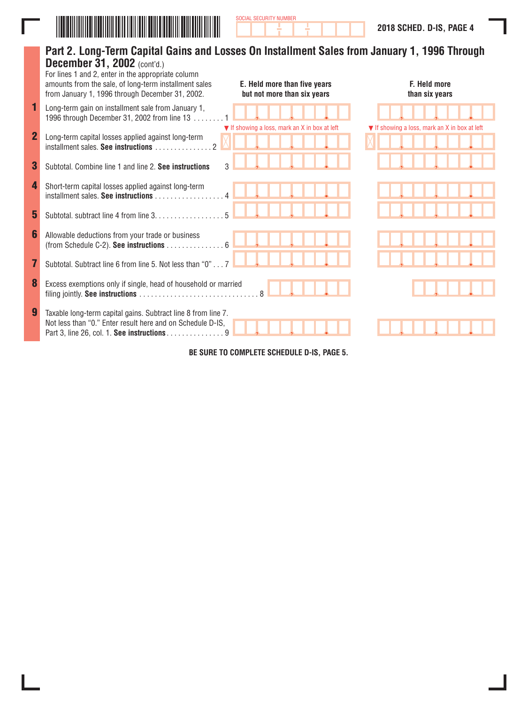

|              | Part 2. Long-Term Capital Gains and Losses On Installment Sales from January 1, 1996 Through<br><b>December 31, 2002</b> (cont'd.)<br>For lines 1 and 2, enter in the appropriate column<br>amounts from the sale, of long-term installment sales<br>from January 1, 1996 through December 31, 2002. | E. Held more than five years<br>but not more than six years      | F. Held more<br>than six years                                   |
|--------------|------------------------------------------------------------------------------------------------------------------------------------------------------------------------------------------------------------------------------------------------------------------------------------------------------|------------------------------------------------------------------|------------------------------------------------------------------|
|              | Long-term gain on installment sale from January 1,<br>1996 through December 31, 2002 from line 13                                                                                                                                                                                                    |                                                                  |                                                                  |
| $\mathbf{2}$ | Long-term capital losses applied against long-term                                                                                                                                                                                                                                                   | $\blacktriangledown$ If showing a loss, mark an X in box at left | $\blacktriangledown$ If showing a loss, mark an X in box at left |
| 3            | Subtotal, Combine line 1 and line 2. See instructions                                                                                                                                                                                                                                                | 3                                                                |                                                                  |
| 4            | Short-term capital losses applied against long-term<br>installment sales. See instructions                                                                                                                                                                                                           |                                                                  |                                                                  |
| 5            | Subtotal, subtract line 4 from line 3.                                                                                                                                                                                                                                                               |                                                                  |                                                                  |
| 6            | Allowable deductions from your trade or business<br>(from Schedule C-2). See instructions $\ldots \ldots \ldots \ldots \ldots$                                                                                                                                                                       |                                                                  |                                                                  |
|              | Subtotal, Subtract line 6 from line 5. Not less than "0"                                                                                                                                                                                                                                             |                                                                  |                                                                  |
| 8            | Excess exemptions only if single, head of household or married                                                                                                                                                                                                                                       |                                                                  |                                                                  |
|              | Taxable long-term capital gains. Subtract line 8 from line 7.<br>Not less than "0." Enter result here and on Schedule D-IS,<br>Part 3, line 26, col. 1. See instructions 9                                                                                                                           |                                                                  |                                                                  |

SOCIAL SECURITY NUMBER

**BE SURE TO COMPLETE SCHEDULE D-IS, PAGE 5.**